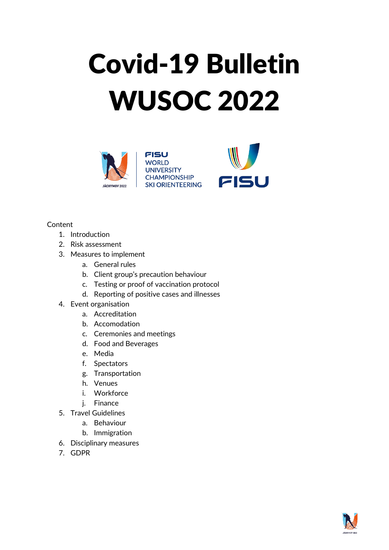# Covid-19 Bulletin WUSOC 2022



**FISU WORLD UNIVERSITY CHAMPIONSHIP SKI ORIENTEERING** 



#### Content

- 1. Introduction
- 2. Risk assessment
- 3. Measures to implement
	- a. General rules
	- b. Client group's precaution behaviour
	- c. Testing or proof of vaccination protocol
	- d. Reporting of positive cases and illnesses
- 4. Event organisation
	- a. Accreditation
	- b. Accomodation
	- c. Ceremonies and meetings
	- d. Food and Beverages
	- e. Media
	- f. Spectators
	- g. Transportation
	- h. Venues
	- i. Workforce
	- j. Finance
- 5. Travel Guidelines
	- a. Behaviour
	- b. Immigration
- 6. Disciplinary measures
- 7. GDPR

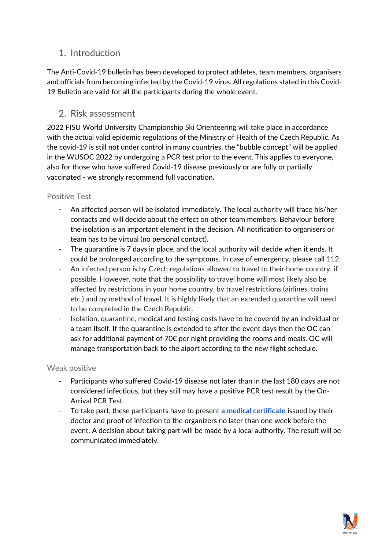# 1. Introduction

The Anti-Covid-19 bulletin has been developed to protect athletes, team members, organisers and officials from becoming infected by the Covid-19 virus. All regulations stated in this Covid-19 Bulletin are valid for all the participants during the whole event.

## 2. Risk assessment

2022 FISU World University Championship Ski Orienteering will take place in accordance with the actual valid epidemic regulations of the Ministry of Health of the Czech Republic. As the covid-19 is still not under control in many countries, the "bubble concept" will be applied in the WUSOC 2022 by undergoing a PCR test prior to the event. This applies to everyone, also for those who have suffered Covid-19 disease previously or are fully or partially vaccinated - we strongly recommend full vaccination.

## Positive Test

- An affected person will be isolated immediately. The local authority will trace his/her contacts and will decide about the effect on other team members. Behaviour before the isolation is an important element in the decision. All notification to organisers or team has to be virtual (no personal contact).
- The quarantine is 7 days in place, and the local authority will decide when it ends. It could be prolonged according to the symptoms. In case of emergency, please call 112.
- An infected person is by Czech regulations allowed to travel to their home country, if possible. However, note that the possibility to travel home will most likely also be affected by restrictions in your home country, by travel restrictions (airlines, trains etc.) and by method of travel. It is highly likely that an extended quarantine will need to be completed in the Czech Republic.
- Isolation, quarantine, medical and testing costs have to be covered by an individual or a team itself. If the quarantine is extended to after the event days then the OC can ask for additional payment of 70€ per night providing the rooms and meals. OC will manage transportation back to the aiport according to the new flight schedule.

## Weak positive

- Participants who suffered Covid-19 disease not later than in the last 180 days are not considered infectious, but they still may have a positive PCR test result by the On-Arrival PCR Test.
- To take part, these participants have to present **[a medical certificate](https://koronavirus.mzcr.cz/wp-content/uploads/2021/02/Medical-certificate-on-suffering-covid-19-disease-in-the-past-when-travelling-to-the-Czech-Republic.pdf)** issued by their doctor and proof of infection to the organizers no later than one week before the event. A decision about taking part will be made by a local authority. The result will be communicated immediately.

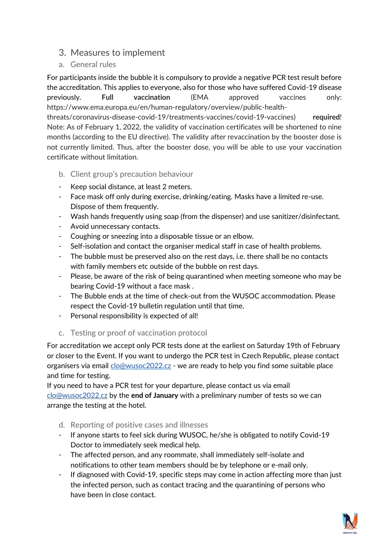## 3. Measures to implement

a. General rules

For participants inside the bubble it is compulsory to provide a negative PCR test result before the accreditation. This applies to everyone, also for those who have suffered Covid-19 disease previously. **Full vaccination** (EMA approved vaccines only: https://www.ema.europa.eu/en/human-regulatory/overview/public-health-

threats/coronavirus-disease-covid-19/treatments-vaccines/covid-19-vaccines) **required**! Note: As of February 1, 2022, the validity of vaccination certificates will be shortened to nine months (according to the EU directive). The validity after revaccination by the booster dose is not currently limited. Thus, after the booster dose, you will be able to use your vaccination certificate without limitation.

- b. Client group's precaution behaviour
- Keep social distance, at least 2 meters.
- Face mask off only during exercise, drinking/eating. Masks have a limited re-use. Dispose of them frequently.
- Wash hands frequently using soap (from the dispenser) and use sanitizer/disinfectant.
- Avoid unnecessary contacts.
- Coughing or sneezing into a disposable tissue or an elbow.
- Self-isolation and contact the organiser medical staff in case of health problems.
- The bubble must be preserved also on the rest days, i.e. there shall be no contacts with family members etc outside of the bubble on rest days.
- Please, be aware of the risk of being quarantined when meeting someone who may be bearing Covid-19 without a face mask .
- The Bubble ends at the time of check-out from the WUSOC accommodation. Please respect the Covid-19 bulletin regulation until that time.
- Personal responsibility is expected of all!
- c. Testing or proof of vaccination protocol

For accreditation we accept only PCR tests done at the earliest on Saturday 19th of February or closer to the Event. If you want to undergo the PCR test in Czech Republic, please contact organisers via email [clo@wusoc2022.cz](mailto:clo@wusoc2022.cz) - we are ready to help you find some suitable place and time for testing.

If you need to have a PCR test for your departure, please contact us via email [clo@wusoc2022.cz](mailto:clo@wusoc2022.cz) by the **end of January** with a preliminary number of tests so we can arrange the testing at the hotel.

- d. Reporting of positive cases and illnesses
- If anyone starts to feel sick during WUSOC, he/she is obligated to notify Covid-19 Doctor to immediately seek medical help.
- The affected person, and any roommate, shall immediately self-isolate and notifications to other team members should be by telephone or e-mail only.
- If diagnosed with Covid-19, specific steps may come in action affecting more than just the infected person, such as contact tracing and the quarantining of persons who have been in close contact.

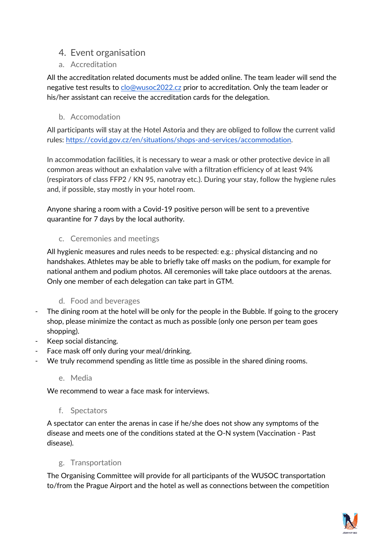# 4. Event organisation

a. Accreditation

All the accreditation related documents must be added online. The team leader will send the negative test results to [clo@wusoc2022.cz](mailto:clo@wusoc2022.cz) prior to accreditation. Only the team leader or his/her assistant can receive the accreditation cards for the delegation.

b. Accomodation

All participants will stay at the Hotel Astoria and they are obliged to follow the current valid rules: [https://covid.gov.cz/en/situations/shops-and-services/accommodation.](https://covid.gov.cz/en/situations/shops-and-services/accommodation)

In accommodation facilities, it is necessary to wear a mask or other protective device in all common areas without an exhalation valve with a filtration efficiency of at least 94% (respirators of class FFP2 / KN 95, nanotray etc.). During your stay, follow the hygiene rules and, if possible, stay mostly in your hotel room.

Anyone sharing a room with a Covid-19 positive person will be sent to a preventive quarantine for 7 days by the local authority.

## c. Ceremonies and meetings

All hygienic measures and rules needs to be respected: e.g.: physical distancing and no handshakes. Athletes may be able to briefly take off masks on the podium, for example for national anthem and podium photos. All ceremonies will take place outdoors at the arenas. Only one member of each delegation can take part in GTM.

## d. Food and beverages

- The dining room at the hotel will be only for the people in the Bubble. If going to the grocery shop, please minimize the contact as much as possible (only one person per team goes shopping).
- Keep social distancing.
- Face mask off only during your meal/drinking.
- We truly recommend spending as little time as possible in the shared dining rooms.
	- e. Media

We recommend to wear a face mask for interviews.

## f. Spectators

A spectator can enter the arenas in case if he/she does not show any symptoms of the disease and meets one of the conditions stated at the O-N system (Vaccination - Past disease).

## g. Transportation

The Organising Committee will provide for all participants of the WUSOC transportation to/from the Prague Airport and the hotel as well as connections between the competition

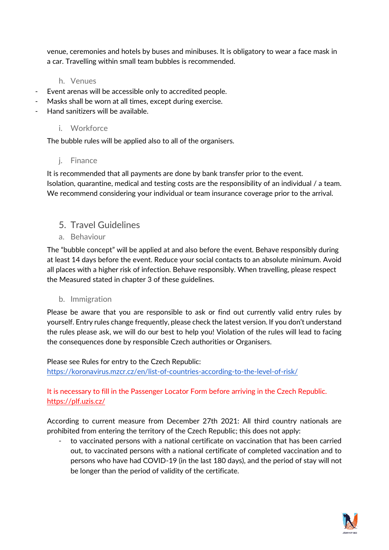venue, ceremonies and hotels by buses and minibuses. It is obligatory to wear a face mask in a car. Travelling within small team bubbles is recommended.

#### h. Venues

- Event arenas will be accessible only to accredited people.
- Masks shall be worn at all times, except during exercise.
- Hand sanitizers will be available.

#### i. Workforce

The bubble rules will be applied also to all of the organisers.

#### j. Finance

It is recommended that all payments are done by bank transfer prior to the event. Isolation, quarantine, medical and testing costs are the responsibility of an individual / a team. We recommend considering your individual or team insurance coverage prior to the arrival.

## 5. Travel Guidelines

a. Behaviour

The "bubble concept" will be applied at and also before the event. Behave responsibly during at least 14 days before the event. Reduce your social contacts to an absolute minimum. Avoid all places with a higher risk of infection. Behave responsibly. When travelling, please respect the Measured stated in chapter 3 of these guidelines.

#### b. Immigration

Please be aware that you are responsible to ask or find out currently valid entry rules by yourself. Entry rules change frequently, please check the latest version. If you don't understand the rules please ask, we will do our best to help you! Violation of the rules will lead to facing the consequences done by responsible Czech authorities or Organisers.

#### Please see Rules for entry to the Czech Republic:

<https://koronavirus.mzcr.cz/en/list-of-countries-according-to-the-level-of-risk/>

## It is necessary to fill in the Passenger Locator Form before arriving in the Czech Republic. <https://plf.uzis.cz/>

According to current measure from December 27th 2021: All third country nationals are prohibited from entering the territory of the Czech Republic; this does not apply:

- to vaccinated persons with a national certificate on vaccination that has been carried out, to vaccinated persons with a national certificate of completed vaccination and to persons who have had COVID-19 (in the last 180 days), and the period of stay will not be longer than the period of validity of the certificate.